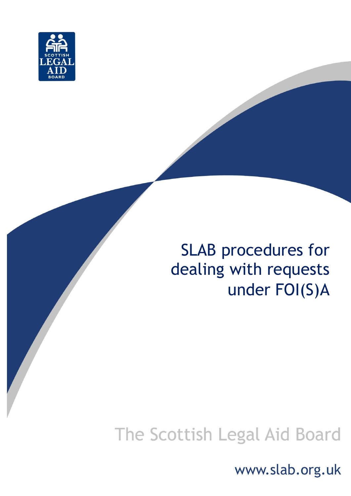

# SLAB procedures for dealing with requests under FOI(S)A

# The Scottish Legal Aid Board

www.slab.org.uk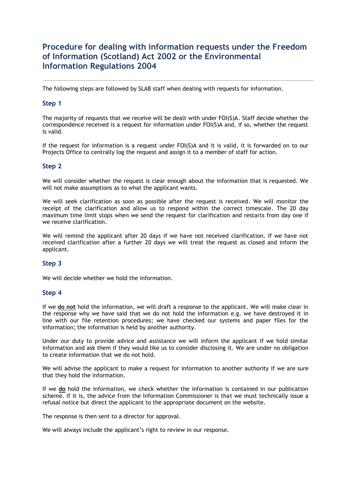# **Procedure for dealing with information requests under the Freedom of Information (Scotland) Act 2002 or the Environmental Information Regulations 2004**

The following steps are followed by SLAB staff when dealing with requests for information.

# **Step 1**

The majority of requests that we receive will be dealt with under FOI(S)A. Staff decide whether the correspondence received is a request for information under FOI(S)A and, if so, whether the request is valid.

If the request for information is a request under FOI(S)A and it is valid, it is forwarded on to our Projects Office to centrally log the request and assign it to a member of staff for action.

### **Step 2**

We will consider whether the request is clear enough about the information that is requested. We will not make assumptions as to what the applicant wants.

We will seek clarification as soon as possible after the request is received. We will monitor the receipt of the clarification and allow us to respond within the correct timescale. The 20 day maximum time limit stops when we send the request for clarification and restarts from day one if we receive clarification.

We will remind the applicant after 20 days if we have not received clarification. If we have not received clarification after a further 20 days we will treat the request as closed and inform the applicant.

### **Step 3**

We will decide whether we hold the information.

### **Step 4**

If we **do not** hold the information, we will draft a response to the applicant. We will make clear in the response why we have said that we do not hold the information e.g. we have destroyed it in line with our file retention procedures; we have checked our systems and paper files for the information; the information is held by another authority.

Under our duty to provide advice and assistance we will inform the applicant if we hold similar information and ask them if they would like us to consider disclosing it. We are under no obligation to create information that we do not hold.

We will advise the applicant to make a request for information to another authority if we are sure that they hold the information.

If we **do** hold the information, we check whether the information is contained in our publication scheme. If it is, the advice from the Information Commissioner is that we must technically issue a refusal notice but direct the applicant to the appropriate document on the website.

The response is then sent to a director for approval.

We will always include the applicant's right to review in our response.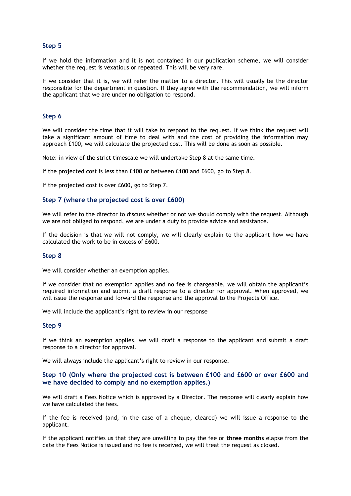## **Step 5**

If we hold the information and it is not contained in our publication scheme, we will consider whether the request is vexatious or repeated. This will be very rare.

If we consider that it is, we will refer the matter to a director. This will usually be the director responsible for the department in question. If they agree with the recommendation, we will inform the applicant that we are under no obligation to respond.

#### **Step 6**

We will consider the time that it will take to respond to the request. If we think the request will take a significant amount of time to deal with and the cost of providing the information may approach £100, we will calculate the projected cost. This will be done as soon as possible.

Note: in view of the strict timescale we will undertake Step 8 at the same time.

If the projected cost is less than £100 or between £100 and £600, go to Step 8.

If the projected cost is over £600, go to Step 7.

#### **Step 7 (where the projected cost is over £600)**

We will refer to the director to discuss whether or not we should comply with the request. Although we are not obliged to respond, we are under a duty to provide advice and assistance.

If the decision is that we will not comply, we will clearly explain to the applicant how we have calculated the work to be in excess of £600.

#### **Step 8**

We will consider whether an exemption applies.

If we consider that no exemption applies and no fee is chargeable, we will obtain the applicant's required information and submit a draft response to a director for approval. When approved, we will issue the response and forward the response and the approval to the Projects Office.

We will include the applicant's right to review in our response

#### **Step 9**

If we think an exemption applies, we will draft a response to the applicant and submit a draft response to a director for approval.

We will always include the applicant's right to review in our response.

### **Step 10 (Only where the projected cost is between £100 and £600 or over £600 and we have decided to comply and no exemption applies.)**

We will draft a Fees Notice which is approved by a Director. The response will clearly explain how we have calculated the fees.

If the fee is received (and, in the case of a cheque, cleared) we will issue a response to the applicant.

If the applicant notifies us that they are unwilling to pay the fee or **three months** elapse from the date the Fees Notice is issued and no fee is received, we will treat the request as closed.